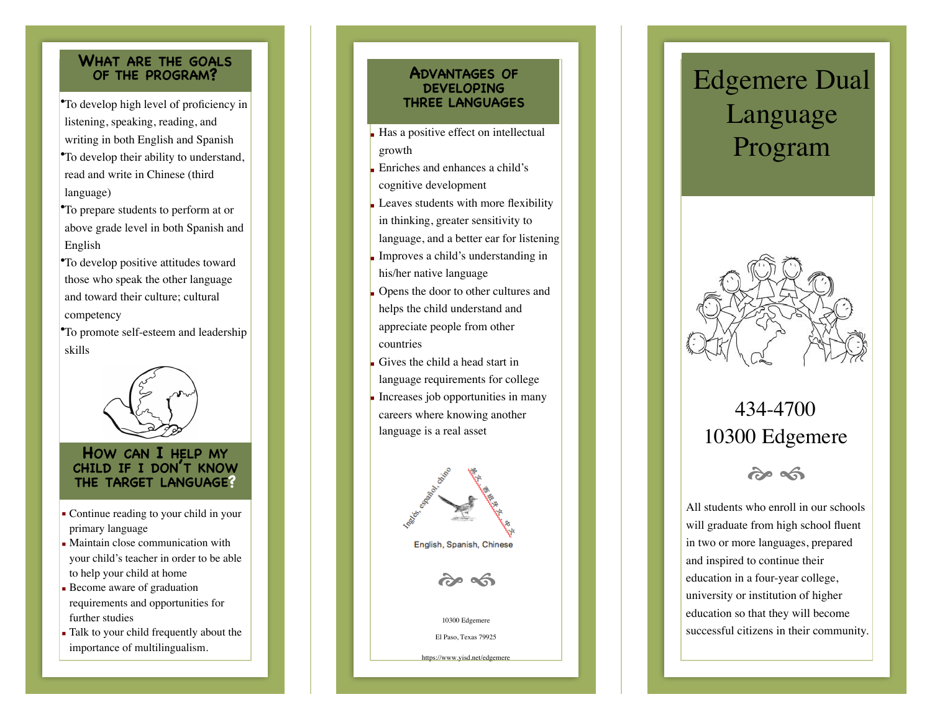## **WHAT ARE THE GOALS OF THE PROGRAM?**

- •To develop high level of proficiency in **THREE LANGUAGES**  listening, speaking, reading, and writing in both English and Spanish •To develop their ability to understand, read and write in Chinese (third language)
- •To prepare students to perform at or above grade level in both Spanish and English
- •To develop positive attitudes toward those who speak the other language and toward their culture; cultural competency
- •To promote self-esteem and leadership skills



#### **HOW CAN I HELP MY CHILD IF I DON 'T KNOW THE TARGET LANGUAGE?**

- Continue reading to your child in your primary language
- Maintain close communication with your child's teacher in order to be able to help your child at home
- **Become aware of graduation** requirements and opportunities for further studies
- Talk to your child frequently about the importance of multilingualism.

## **DEVELOPING ADVANTAGES OF**

- $\blacksquare$  Has a positive effect on intellectual growth
- Enriches and enhances a child's cognitive development
- $\blacksquare$  Leaves students with more flexibility in thinking, greater sensitivity to language, and a better ear for listening
- **Improves a child's understanding in** his/her native language
- Opens the door to other cultures and helps the child understand and appreciate people from other countries
- Gives the child a head start in language requirements for college
- Increases job opportunities in many careers where knowing another language is a real asset



# Edgemere Dual Language Program



## 434-4700 10300 Edgemere



All students who enroll in our schools will graduate from high school fluent in two or more languages, prepared and inspired to continue their education in a four-year college, university or institution of higher education so that they will become successful citizens in their community.